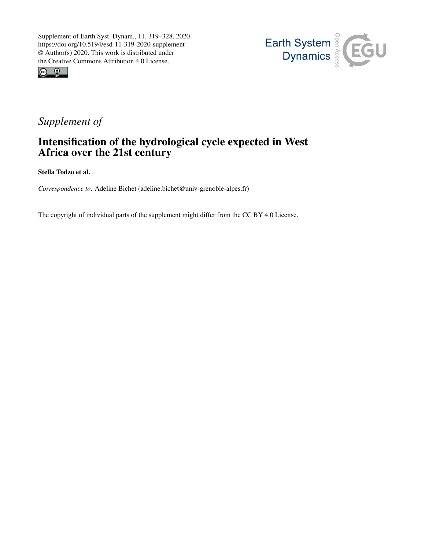



## *Supplement of*

## Intensification of the hydrological cycle expected in West Africa over the 21st century

Stella Todzo et al.

*Correspondence to:* Adeline Bichet (adeline.bichet@univ-grenoble-alpes.fr)

The copyright of individual parts of the supplement might differ from the CC BY 4.0 License.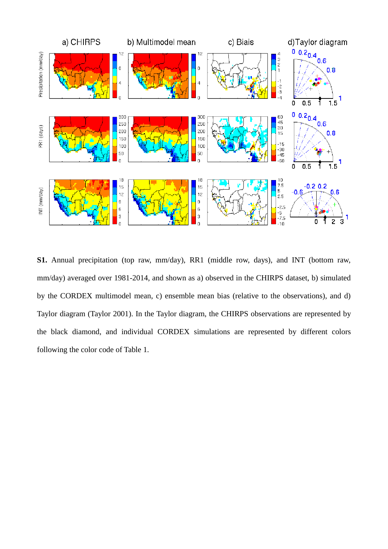

**S1.** Annual precipitation (top raw, mm/day), RR1 (middle row, days), and INT (bottom raw, mm/day) averaged over 1981-2014, and shown as a) observed in the CHIRPS dataset, b) simulated by the CORDEX multimodel mean, c) ensemble mean bias (relative to the observations), and d) Taylor diagram (Taylor 2001). In the Taylor diagram, the CHIRPS observations are represented by the black diamond, and individual CORDEX simulations are represented by different colors following the color code of Table 1.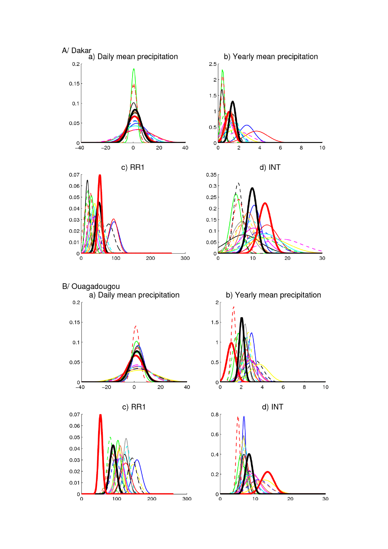